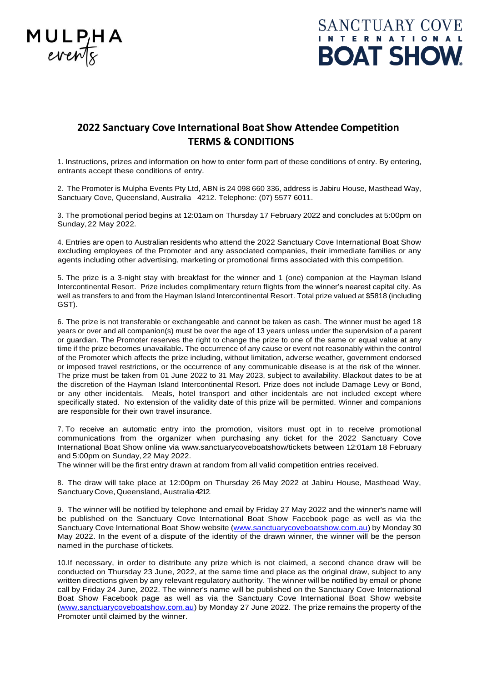



## **2022 Sanctuary Cove International Boat Show Attendee Competition TERMS & CONDITIONS**

1. Instructions, prizes and information on how to enter form part of these conditions of entry. By entering, entrants accept these conditions of entry.

2. The Promoter is Mulpha Events Pty Ltd, ABN is 24 098 660 336, address is Jabiru House, Masthead Way, Sanctuary Cove, Queensland, Australia 4212. Telephone: (07) 5577 6011.

3. The promotional period begins at 12:01am on Thursday 17 February 2022 and concludes at 5:00pm on Sunday,22 May 2022.

4. Entries are open to Australian residents who attend the 2022 Sanctuary Cove International Boat Show excluding employees of the Promoter and any associated companies, their immediate families or any agents including other advertising, marketing or promotional firms associated with this competition.

5. The prize is a 3-night stay with breakfast for the winner and 1 (one) companion at the Hayman Island Intercontinental Resort. Prize includes complimentary return flights from the winner's nearest capital city. As well as transfers to and from the Hayman Island Intercontinental Resort. Total prize valued at \$5818 (including GST).

6. The prize is not transferable or exchangeable and cannot be taken as cash. The winner must be aged 18 years or over and all companion(s) must be over the age of 13 years unless under the supervision of a parent or guardian. The Promoter reserves the right to change the prize to one of the same or equal value at any time if the prize becomes unavailable**.** The occurrence of any cause or event not reasonably within the control of the Promoter which affects the prize including, without limitation, adverse weather, government endorsed or imposed travel restrictions, or the occurrence of any communicable disease is at the risk of the winner. The prize must be taken from 01 June 2022 to 31 May 2023, subject to availability. Blackout dates to be at the discretion of the Hayman Island Intercontinental Resort. Prize does not include Damage Levy or Bond, or any other incidentals. Meals, hotel transport and other incidentals are not included except where specifically stated. No extension of the validity date of this prize will be permitted. Winner and companions are responsible for their own travel insurance.

7. To receive an automatic entry into the promotion, visitors must opt in to receive promotional communications from the organizer when purchasing any ticket for the 2022 Sanctuary Cove International Boat Show online via www.sanctuarycoveboatshow/tickets between 12:01am 18 February and 5:00pm on Sunday,22 May 2022.

The winner will be the first entry drawn at random from all valid competition entries received.

8. The draw will take place at 12:00pm on Thursday 26 May 2022 at Jabiru House, Masthead Way, Sanctuary Cove, Queensland, Australia 4212.

9. The winner will be notified by telephone and email by Friday 27 May 2022 and the winner's name will be published on the Sanctuary Cove International Boat Show Facebook page as well as via the Sanctuary Cove International Boat Show website [\(www.sanctuarycoveboatshow.com.au\)](http://www.sanctuarycoveboatshow.com.au/) by Monday 30 May 2022. In the event of a dispute of the identity of the drawn winner, the winner will be the person named in the purchase of tickets.

10.If necessary, in order to distribute any prize which is not claimed, a second chance draw will be conducted on Thursday 23 June, 2022, at the same time and place as the original draw, subject to any written directions given by any relevant regulatory authority. The winner will be notified by email or phone call by Friday 24 June, 2022. The winner's name will be published on the Sanctuary Cove International Boat Show Facebook page as well as via the Sanctuary Cove International Boat Show website [\(www.sanctuarycoveboatshow.com.au\)](http://www.sanctuarycoveboatshow.com.au/) by Monday 27 June 2022. The prize remains the property of the Promoter until claimed by the winner.